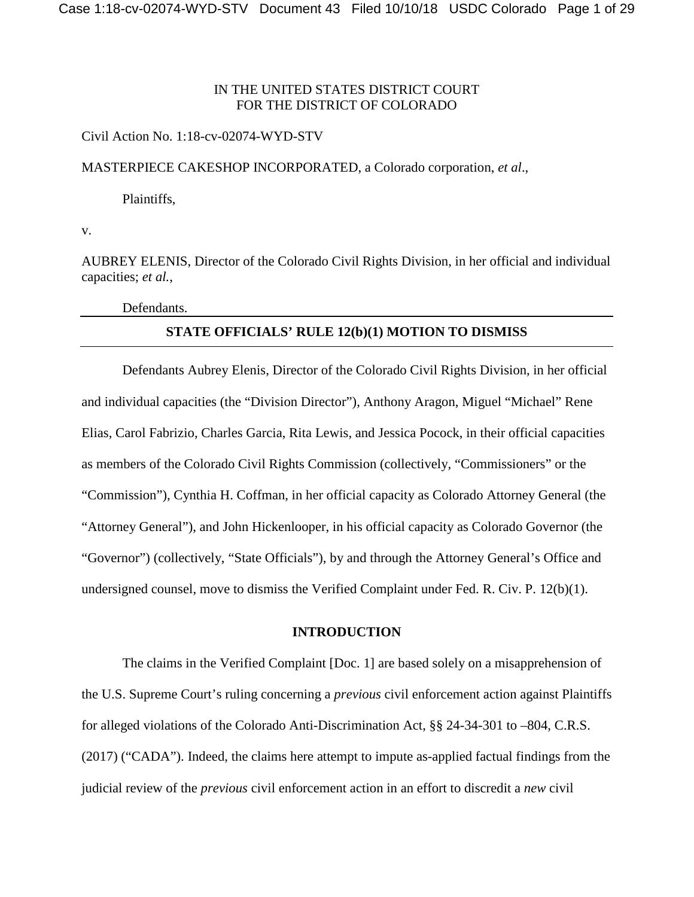# IN THE UNITED STATES DISTRICT COURT FOR THE DISTRICT OF COLORADO

## Civil Action No. 1:18-cv-02074-WYD-STV

MASTERPIECE CAKESHOP INCORPORATED, a Colorado corporation, *et al*.,

Plaintiffs,

v.

AUBREY ELENIS, Director of the Colorado Civil Rights Division, in her official and individual capacities; *et al.*,

### Defendants.

# **STATE OFFICIALS' RULE 12(b)(1) MOTION TO DISMISS**

Defendants Aubrey Elenis, Director of the Colorado Civil Rights Division, in her official and individual capacities (the "Division Director"), Anthony Aragon, Miguel "Michael" Rene Elias, Carol Fabrizio, Charles Garcia, Rita Lewis, and Jessica Pocock, in their official capacities as members of the Colorado Civil Rights Commission (collectively, "Commissioners" or the "Commission"), Cynthia H. Coffman, in her official capacity as Colorado Attorney General (the "Attorney General"), and John Hickenlooper, in his official capacity as Colorado Governor (the "Governor") (collectively, "State Officials"), by and through the Attorney General's Office and undersigned counsel, move to dismiss the Verified Complaint under Fed. R. Civ. P. 12(b)(1).

### **INTRODUCTION**

The claims in the Verified Complaint [Doc. 1] are based solely on a misapprehension of the U.S. Supreme Court's ruling concerning a *previous* civil enforcement action against Plaintiffs for alleged violations of the Colorado Anti-Discrimination Act, §§ 24-34-301 to –804, C.R.S. (2017) ("CADA"). Indeed, the claims here attempt to impute as-applied factual findings from the judicial review of the *previous* civil enforcement action in an effort to discredit a *new* civil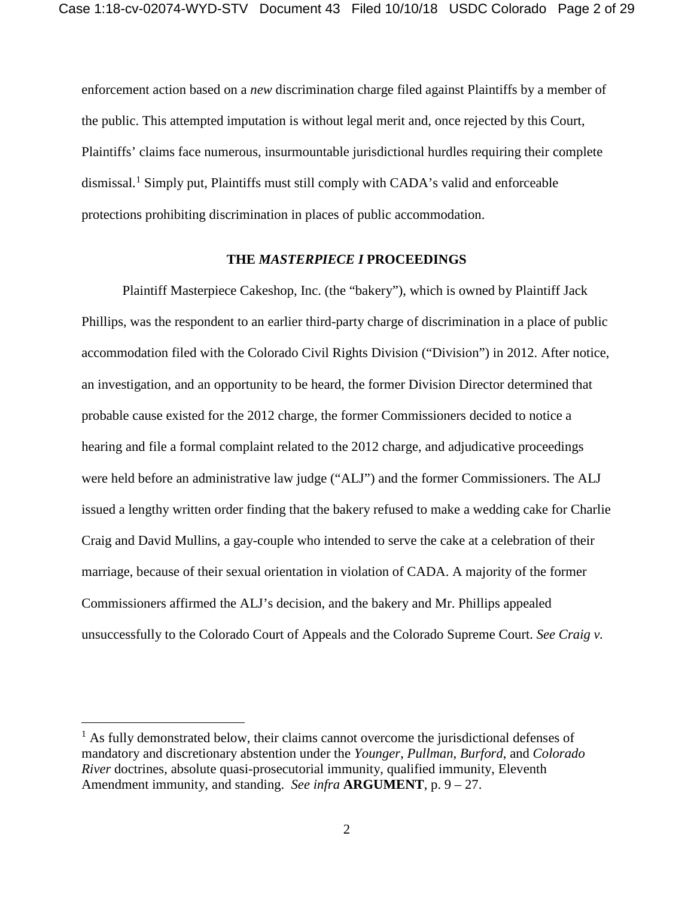enforcement action based on a *new* discrimination charge filed against Plaintiffs by a member of the public. This attempted imputation is without legal merit and, once rejected by this Court, Plaintiffs' claims face numerous, insurmountable jurisdictional hurdles requiring their complete dismissal.[1](#page-1-0) Simply put, Plaintiffs must still comply with CADA's valid and enforceable protections prohibiting discrimination in places of public accommodation.

### **THE** *MASTERPIECE I* **PROCEEDINGS**

Plaintiff Masterpiece Cakeshop, Inc. (the "bakery"), which is owned by Plaintiff Jack Phillips, was the respondent to an earlier third-party charge of discrimination in a place of public accommodation filed with the Colorado Civil Rights Division ("Division") in 2012. After notice, an investigation, and an opportunity to be heard, the former Division Director determined that probable cause existed for the 2012 charge, the former Commissioners decided to notice a hearing and file a formal complaint related to the 2012 charge, and adjudicative proceedings were held before an administrative law judge ("ALJ") and the former Commissioners. The ALJ issued a lengthy written order finding that the bakery refused to make a wedding cake for Charlie Craig and David Mullins, a gay-couple who intended to serve the cake at a celebration of their marriage, because of their sexual orientation in violation of CADA. A majority of the former Commissioners affirmed the ALJ's decision, and the bakery and Mr. Phillips appealed unsuccessfully to the Colorado Court of Appeals and the Colorado Supreme Court. *See Craig v.* 

<span id="page-1-0"></span> $<sup>1</sup>$  As fully demonstrated below, their claims cannot overcome the jurisdictional defenses of</sup> mandatory and discretionary abstention under the *Younger*, *Pullman*, *Burford*, and *Colorado River* doctrines, absolute quasi-prosecutorial immunity, qualified immunity, Eleventh Amendment immunity, and standing. *See infra* **ARGUMENT**, p. 9 – 27.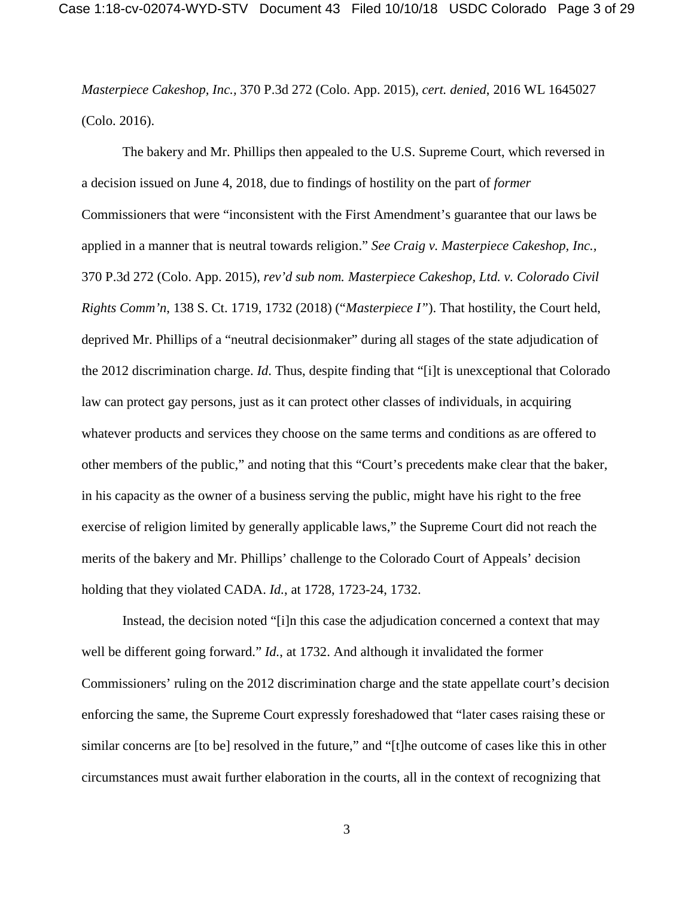*Masterpiece Cakeshop, Inc.,* 370 P.3d 272 (Colo. App. 2015), *cert. denied*, 2016 WL 1645027 (Colo. 2016).

The bakery and Mr. Phillips then appealed to the U.S. Supreme Court, which reversed in a decision issued on June 4, 2018, due to findings of hostility on the part of *former* Commissioners that were "inconsistent with the First Amendment's guarantee that our laws be applied in a manner that is neutral towards religion." *See Craig v. Masterpiece Cakeshop, Inc.,* 370 P.3d 272 (Colo. App. 2015), *rev'd sub nom. Masterpiece Cakeshop, Ltd. v. Colorado Civil Rights Comm'n*, 138 S. Ct. 1719, 1732 (2018) ("*Masterpiece I"*). That hostility, the Court held, deprived Mr. Phillips of a "neutral decisionmaker" during all stages of the state adjudication of the 2012 discrimination charge. *Id*. Thus, despite finding that "[i]t is unexceptional that Colorado law can protect gay persons, just as it can protect other classes of individuals, in acquiring whatever products and services they choose on the same terms and conditions as are offered to other members of the public," and noting that this "Court's precedents make clear that the baker, in his capacity as the owner of a business serving the public, might have his right to the free exercise of religion limited by generally applicable laws," the Supreme Court did not reach the merits of the bakery and Mr. Phillips' challenge to the Colorado Court of Appeals' decision holding that they violated CADA. *Id.*, at 1728, 1723-24, 1732.

Instead, the decision noted "[i]n this case the adjudication concerned a context that may well be different going forward." *Id.*, at 1732. And although it invalidated the former Commissioners' ruling on the 2012 discrimination charge and the state appellate court's decision enforcing the same, the Supreme Court expressly foreshadowed that "later cases raising these or similar concerns are [to be] resolved in the future," and "[t]he outcome of cases like this in other circumstances must await further elaboration in the courts, all in the context of recognizing that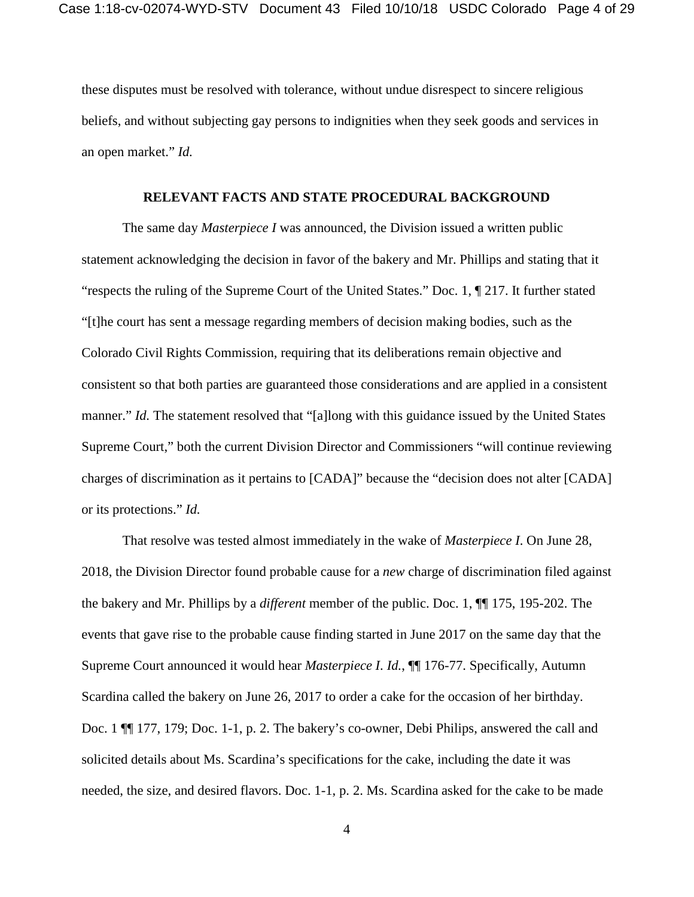these disputes must be resolved with tolerance, without undue disrespect to sincere religious beliefs, and without subjecting gay persons to indignities when they seek goods and services in an open market." *Id.*

#### **RELEVANT FACTS AND STATE PROCEDURAL BACKGROUND**

The same day *Masterpiece I* was announced, the Division issued a written public statement acknowledging the decision in favor of the bakery and Mr. Phillips and stating that it "respects the ruling of the Supreme Court of the United States." Doc. 1, ¶ 217. It further stated "[t]he court has sent a message regarding members of decision making bodies, such as the Colorado Civil Rights Commission, requiring that its deliberations remain objective and consistent so that both parties are guaranteed those considerations and are applied in a consistent manner." *Id.* The statement resolved that "[a]long with this guidance issued by the United States Supreme Court," both the current Division Director and Commissioners "will continue reviewing charges of discrimination as it pertains to [CADA]" because the "decision does not alter [CADA] or its protections." *Id.*

That resolve was tested almost immediately in the wake of *Masterpiece I*. On June 28, 2018, the Division Director found probable cause for a *new* charge of discrimination filed against the bakery and Mr. Phillips by a *different* member of the public. Doc. 1, ¶¶ 175, 195-202. The events that gave rise to the probable cause finding started in June 2017 on the same day that the Supreme Court announced it would hear *Masterpiece I*. *Id.*, ¶¶ 176-77. Specifically, Autumn Scardina called the bakery on June 26, 2017 to order a cake for the occasion of her birthday. Doc. 1 ¶¶ 177, 179; Doc. 1-1, p. 2. The bakery's co-owner, Debi Philips, answered the call and solicited details about Ms. Scardina's specifications for the cake, including the date it was needed, the size, and desired flavors. Doc. 1-1, p. 2. Ms. Scardina asked for the cake to be made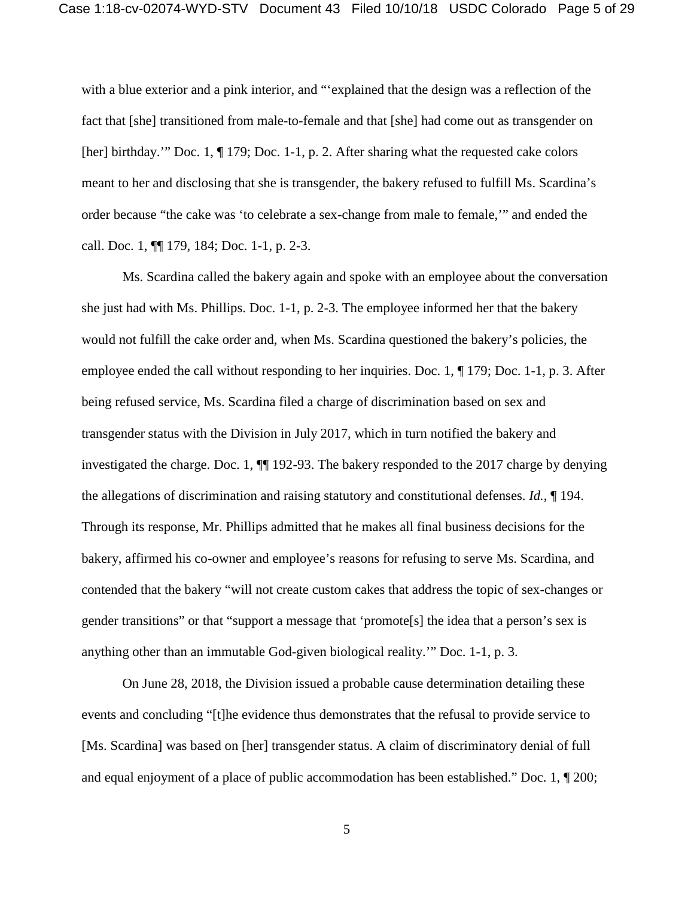with a blue exterior and a pink interior, and "'explained that the design was a reflection of the fact that [she] transitioned from male-to-female and that [she] had come out as transgender on [her] birthday.'" Doc. 1, ¶ 179; Doc. 1-1, p. 2. After sharing what the requested cake colors meant to her and disclosing that she is transgender, the bakery refused to fulfill Ms. Scardina's order because "the cake was 'to celebrate a sex-change from male to female,'" and ended the call. Doc. 1, ¶¶ 179, 184; Doc. 1-1, p. 2-3.

Ms. Scardina called the bakery again and spoke with an employee about the conversation she just had with Ms. Phillips. Doc. 1-1, p. 2-3. The employee informed her that the bakery would not fulfill the cake order and, when Ms. Scardina questioned the bakery's policies, the employee ended the call without responding to her inquiries. Doc. 1, ¶ 179; Doc. 1-1, p. 3. After being refused service, Ms. Scardina filed a charge of discrimination based on sex and transgender status with the Division in July 2017, which in turn notified the bakery and investigated the charge. Doc. 1, ¶¶ 192-93. The bakery responded to the 2017 charge by denying the allegations of discrimination and raising statutory and constitutional defenses. *Id.*, ¶ 194. Through its response, Mr. Phillips admitted that he makes all final business decisions for the bakery, affirmed his co-owner and employee's reasons for refusing to serve Ms. Scardina, and contended that the bakery "will not create custom cakes that address the topic of sex-changes or gender transitions" or that "support a message that 'promote[s] the idea that a person's sex is anything other than an immutable God-given biological reality.'" Doc. 1-1, p. 3.

On June 28, 2018, the Division issued a probable cause determination detailing these events and concluding "[t]he evidence thus demonstrates that the refusal to provide service to [Ms. Scardina] was based on [her] transgender status. A claim of discriminatory denial of full and equal enjoyment of a place of public accommodation has been established." Doc. 1, ¶ 200;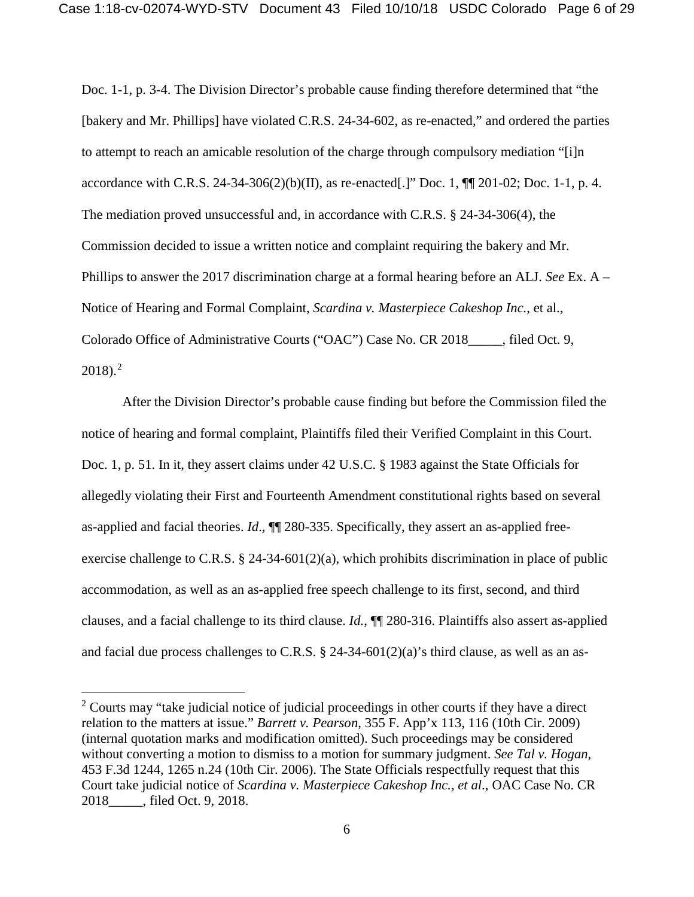Doc. 1-1, p. 3-4. The Division Director's probable cause finding therefore determined that "the [bakery and Mr. Phillips] have violated C.R.S. 24-34-602, as re-enacted," and ordered the parties to attempt to reach an amicable resolution of the charge through compulsory mediation "[i]n accordance with C.R.S. 24-34-306(2)(b)(II), as re-enacted[.]" Doc. 1, ¶¶ 201-02; Doc. 1-1, p. 4. The mediation proved unsuccessful and, in accordance with C.R.S. § 24-34-306(4), the Commission decided to issue a written notice and complaint requiring the bakery and Mr. Phillips to answer the 2017 discrimination charge at a formal hearing before an ALJ. *See* Ex. A – Notice of Hearing and Formal Complaint, *Scardina v. Masterpiece Cakeshop Inc.*, et al., Colorado Office of Administrative Courts ("OAC") Case No. CR 2018\_\_\_\_\_, filed Oct. 9,  $2018$  $2018$ ).<sup>2</sup>

After the Division Director's probable cause finding but before the Commission filed the notice of hearing and formal complaint, Plaintiffs filed their Verified Complaint in this Court. Doc. 1, p. 51. In it, they assert claims under 42 U.S.C. § 1983 against the State Officials for allegedly violating their First and Fourteenth Amendment constitutional rights based on several as-applied and facial theories. *Id*., ¶¶ 280-335. Specifically, they assert an as-applied freeexercise challenge to C.R.S. § 24-34-601(2)(a), which prohibits discrimination in place of public accommodation, as well as an as-applied free speech challenge to its first, second, and third clauses, and a facial challenge to its third clause. *Id.*, ¶¶ 280-316. Plaintiffs also assert as-applied and facial due process challenges to C.R.S.  $\S$  24-34-601(2)(a)'s third clause, as well as an as-

<span id="page-5-0"></span> $2$  Courts may "take judicial notice of judicial proceedings in other courts if they have a direct relation to the matters at issue." *Barrett v. Pearson*, 355 F. App'x 113, 116 (10th Cir. 2009) (internal quotation marks and modification omitted). Such proceedings may be considered without converting a motion to dismiss to a motion for summary judgment. *See Tal v. Hogan*, 453 F.3d 1244, 1265 n.24 (10th Cir. 2006). The State Officials respectfully request that this Court take judicial notice of *Scardina v. Masterpiece Cakeshop Inc., et al*., OAC Case No. CR 2018\_\_\_\_\_, filed Oct. 9, 2018.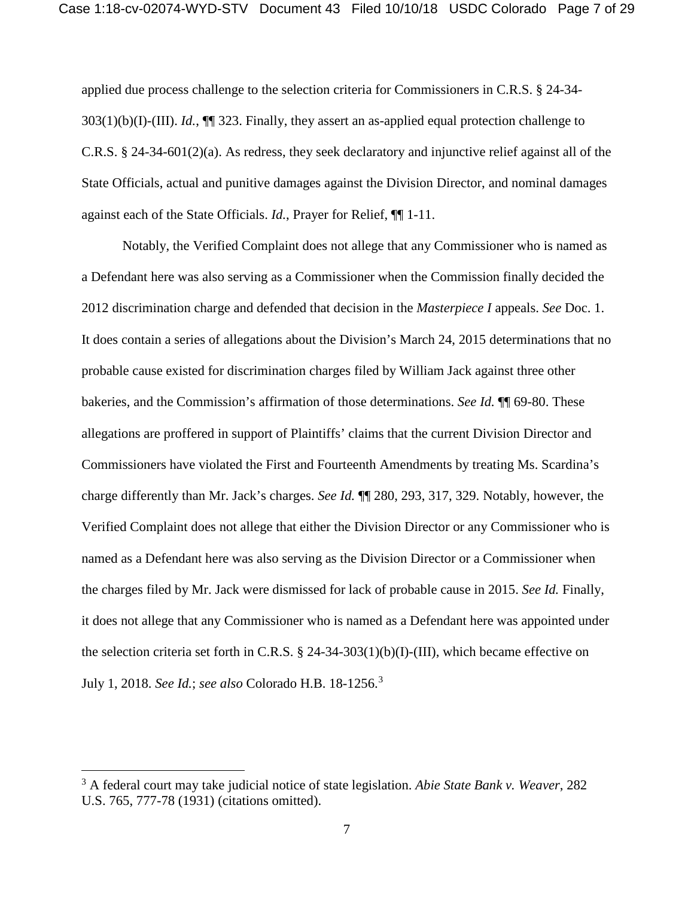applied due process challenge to the selection criteria for Commissioners in C.R.S. § 24-34- 303(1)(b)(I)-(III). *Id.*, ¶¶ 323. Finally, they assert an as-applied equal protection challenge to C.R.S. § 24-34-601(2)(a). As redress, they seek declaratory and injunctive relief against all of the State Officials, actual and punitive damages against the Division Director, and nominal damages against each of the State Officials. *Id.*, Prayer for Relief, ¶¶ 1-11.

Notably, the Verified Complaint does not allege that any Commissioner who is named as a Defendant here was also serving as a Commissioner when the Commission finally decided the 2012 discrimination charge and defended that decision in the *Masterpiece I* appeals. *See* Doc. 1. It does contain a series of allegations about the Division's March 24, 2015 determinations that no probable cause existed for discrimination charges filed by William Jack against three other bakeries, and the Commission's affirmation of those determinations. *See Id.* ¶¶ 69-80. These allegations are proffered in support of Plaintiffs' claims that the current Division Director and Commissioners have violated the First and Fourteenth Amendments by treating Ms. Scardina's charge differently than Mr. Jack's charges. *See Id.* ¶¶ 280, 293, 317, 329. Notably, however, the Verified Complaint does not allege that either the Division Director or any Commissioner who is named as a Defendant here was also serving as the Division Director or a Commissioner when the charges filed by Mr. Jack were dismissed for lack of probable cause in 2015. *See Id.* Finally, it does not allege that any Commissioner who is named as a Defendant here was appointed under the selection criteria set forth in C.R.S. § 24-34-303(1)(b)(I)-(III), which became effective on July 1, 2018. *See Id.*; *see also* Colorado H.B. 18-1256.[3](#page-6-0)

<span id="page-6-0"></span><sup>3</sup> A federal court may take judicial notice of state legislation. *Abie State Bank v. Weaver*, 282 U.S. 765, 777-78 (1931) (citations omitted).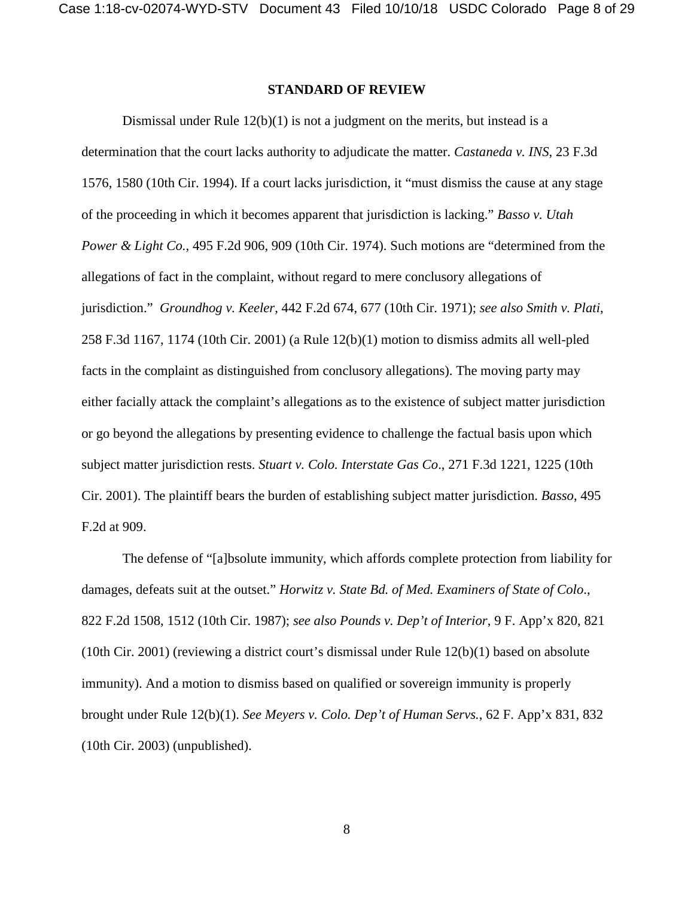#### **STANDARD OF REVIEW**

Dismissal under Rule  $12(b)(1)$  is not a judgment on the merits, but instead is a determination that the court lacks authority to adjudicate the matter. *Castaneda v. INS*, 23 F.3d 1576, 1580 (10th Cir. 1994). If a court lacks jurisdiction, it "must dismiss the cause at any stage of the proceeding in which it becomes apparent that jurisdiction is lacking." *Basso v. Utah Power & Light Co.*, 495 F.2d 906, 909 (10th Cir. 1974). Such motions are "determined from the allegations of fact in the complaint, without regard to mere conclusory allegations of jurisdiction." *Groundhog v. Keeler*, 442 F.2d 674, 677 (10th Cir. 1971); *see also Smith v. Plati*, 258 F.3d 1167, 1174 (10th Cir. 2001) (a Rule 12(b)(1) motion to dismiss admits all well-pled facts in the complaint as distinguished from conclusory allegations). The moving party may either facially attack the complaint's allegations as to the existence of subject matter jurisdiction or go beyond the allegations by presenting evidence to challenge the factual basis upon which subject matter jurisdiction rests. *Stuart v. Colo. Interstate Gas Co*., 271 F.3d 1221, 1225 (10th Cir. 2001). The plaintiff bears the burden of establishing subject matter jurisdiction. *Basso*, 495 F.2d at 909.

The defense of "[a]bsolute immunity, which affords complete protection from liability for damages, defeats suit at the outset." *Horwitz v. State Bd. of Med. Examiners of State of Colo*., 822 F.2d 1508, 1512 (10th Cir. 1987); *see also Pounds v. Dep't of Interior*, 9 F. App'x 820, 821 (10th Cir. 2001) (reviewing a district court's dismissal under Rule 12(b)(1) based on absolute immunity). And a motion to dismiss based on qualified or sovereign immunity is properly brought under Rule 12(b)(1). *See Meyers v. Colo. Dep't of Human Servs.*, 62 F. App'x 831, 832 (10th Cir. 2003) (unpublished).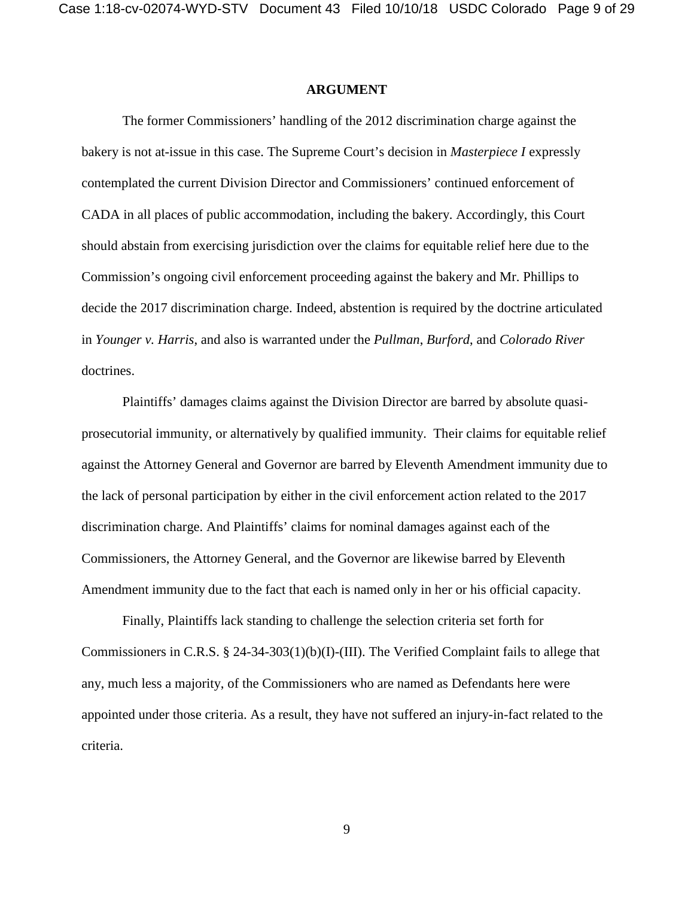#### **ARGUMENT**

The former Commissioners' handling of the 2012 discrimination charge against the bakery is not at-issue in this case. The Supreme Court's decision in *Masterpiece I* expressly contemplated the current Division Director and Commissioners' continued enforcement of CADA in all places of public accommodation, including the bakery. Accordingly, this Court should abstain from exercising jurisdiction over the claims for equitable relief here due to the Commission's ongoing civil enforcement proceeding against the bakery and Mr. Phillips to decide the 2017 discrimination charge. Indeed, abstention is required by the doctrine articulated in *Younger v. Harris*, and also is warranted under the *Pullman*, *Burford*, and *Colorado River* doctrines.

Plaintiffs' damages claims against the Division Director are barred by absolute quasiprosecutorial immunity, or alternatively by qualified immunity. Their claims for equitable relief against the Attorney General and Governor are barred by Eleventh Amendment immunity due to the lack of personal participation by either in the civil enforcement action related to the 2017 discrimination charge. And Plaintiffs' claims for nominal damages against each of the Commissioners, the Attorney General, and the Governor are likewise barred by Eleventh Amendment immunity due to the fact that each is named only in her or his official capacity.

Finally, Plaintiffs lack standing to challenge the selection criteria set forth for Commissioners in C.R.S. § 24-34-303(1)(b)(I)-(III). The Verified Complaint fails to allege that any, much less a majority, of the Commissioners who are named as Defendants here were appointed under those criteria. As a result, they have not suffered an injury-in-fact related to the criteria.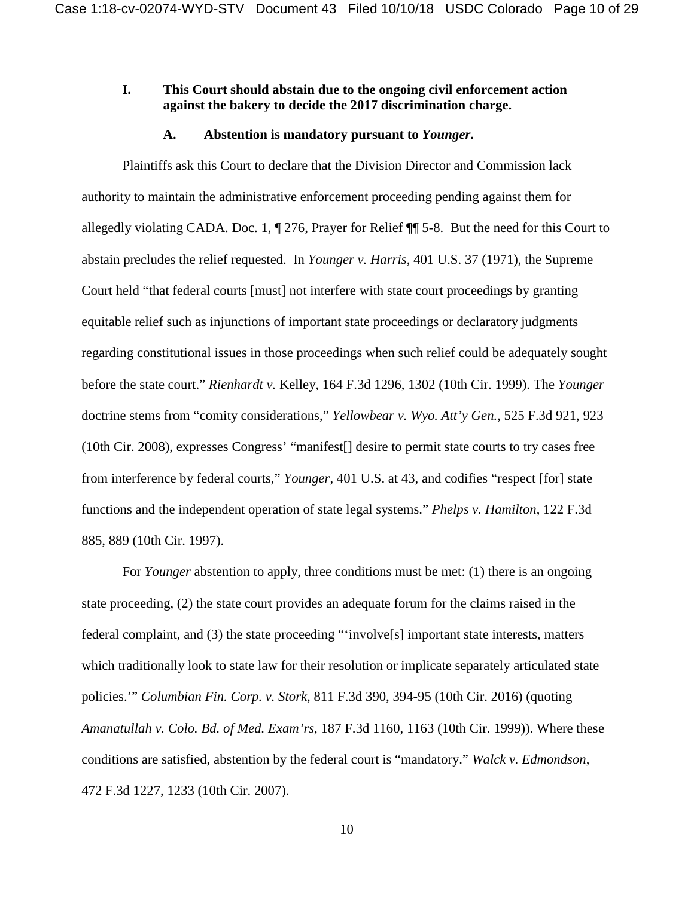## **I. This Court should abstain due to the ongoing civil enforcement action against the bakery to decide the 2017 discrimination charge.**

### **A. Abstention is mandatory pursuant to** *Younger***.**

Plaintiffs ask this Court to declare that the Division Director and Commission lack authority to maintain the administrative enforcement proceeding pending against them for allegedly violating CADA. Doc. 1, ¶ 276, Prayer for Relief ¶¶ 5-8. But the need for this Court to abstain precludes the relief requested. In *Younger v. Harris*, 401 U.S. 37 (1971), the Supreme Court held "that federal courts [must] not interfere with state court proceedings by granting equitable relief such as injunctions of important state proceedings or declaratory judgments regarding constitutional issues in those proceedings when such relief could be adequately sought before the state court." *Rienhardt v.* Kelley, 164 F.3d 1296, 1302 (10th Cir. 1999). The *Younger* doctrine stems from "comity considerations," *Yellowbear v. Wyo. Att'y Gen.*, 525 F.3d 921, 923 (10th Cir. 2008), expresses Congress' "manifest[] desire to permit state courts to try cases free from interference by federal courts," *Younger*, 401 U.S. at 43, and codifies "respect [for] state functions and the independent operation of state legal systems." *Phelps v. Hamilton*, 122 F.3d 885, 889 (10th Cir. 1997).

For *Younger* abstention to apply, three conditions must be met: (1) there is an ongoing state proceeding, (2) the state court provides an adequate forum for the claims raised in the federal complaint, and (3) the state proceeding "'involve[s] important state interests, matters which traditionally look to state law for their resolution or implicate separately articulated state policies.'" *Columbian Fin. Corp. v. Stork*, 811 F.3d 390, 394-95 (10th Cir. 2016) (quoting *Amanatullah v. Colo. Bd. of Med. Exam'rs*, 187 F.3d 1160, 1163 (10th Cir. 1999)). Where these conditions are satisfied, abstention by the federal court is "mandatory." *Walck v. Edmondson*, 472 F.3d 1227, 1233 (10th Cir. 2007).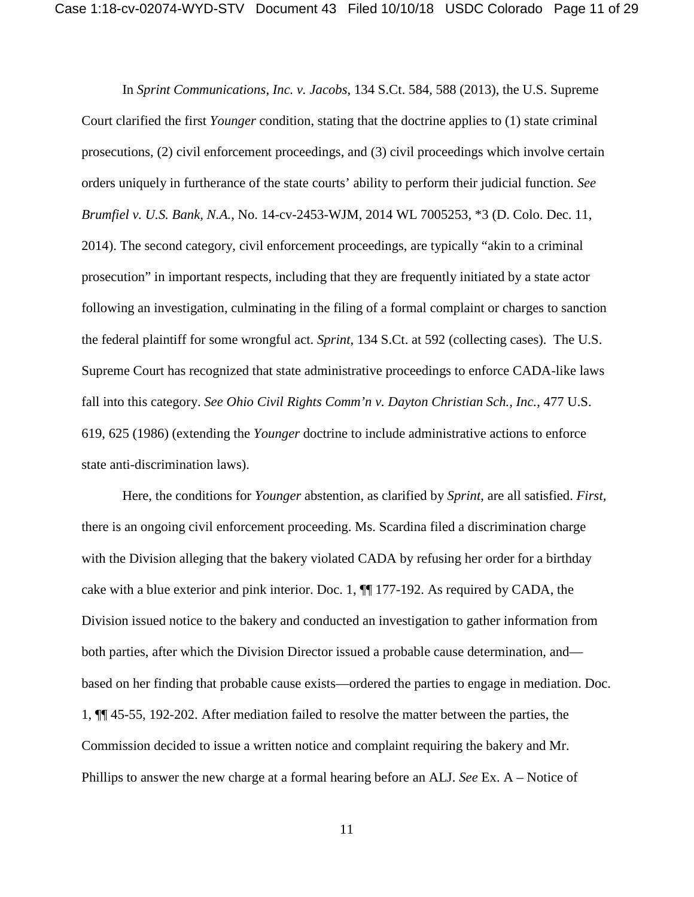In *Sprint Communications, Inc. v. Jacobs*, 134 S.Ct. 584, 588 (2013), the U.S. Supreme Court clarified the first *Younger* condition, stating that the doctrine applies to (1) state criminal prosecutions, (2) civil enforcement proceedings, and (3) civil proceedings which involve certain orders uniquely in furtherance of the state courts' ability to perform their judicial function. *See Brumfiel v. U.S. Bank, N.A.*, No. 14-cv-2453-WJM, 2014 WL 7005253, \*3 (D. Colo. Dec. 11, 2014). The second category, civil enforcement proceedings, are typically "akin to a criminal prosecution" in important respects, including that they are frequently initiated by a state actor following an investigation, culminating in the filing of a formal complaint or charges to sanction the federal plaintiff for some wrongful act. *Sprint*, 134 S.Ct. at 592 (collecting cases). The U.S. Supreme Court has recognized that state administrative proceedings to enforce CADA-like laws fall into this category. *See Ohio Civil Rights Comm'n v. Dayton Christian Sch., Inc.*, 477 U.S. 619, 625 (1986) (extending the *Younger* doctrine to include administrative actions to enforce state anti-discrimination laws).

Here, the conditions for *Younger* abstention, as clarified by *Sprint*, are all satisfied. *First,* there is an ongoing civil enforcement proceeding. Ms. Scardina filed a discrimination charge with the Division alleging that the bakery violated CADA by refusing her order for a birthday cake with a blue exterior and pink interior. Doc. 1, ¶¶ 177-192. As required by CADA, the Division issued notice to the bakery and conducted an investigation to gather information from both parties, after which the Division Director issued a probable cause determination, and based on her finding that probable cause exists—ordered the parties to engage in mediation. Doc. 1, ¶¶ 45-55, 192-202. After mediation failed to resolve the matter between the parties, the Commission decided to issue a written notice and complaint requiring the bakery and Mr. Phillips to answer the new charge at a formal hearing before an ALJ. *See* Ex. A – Notice of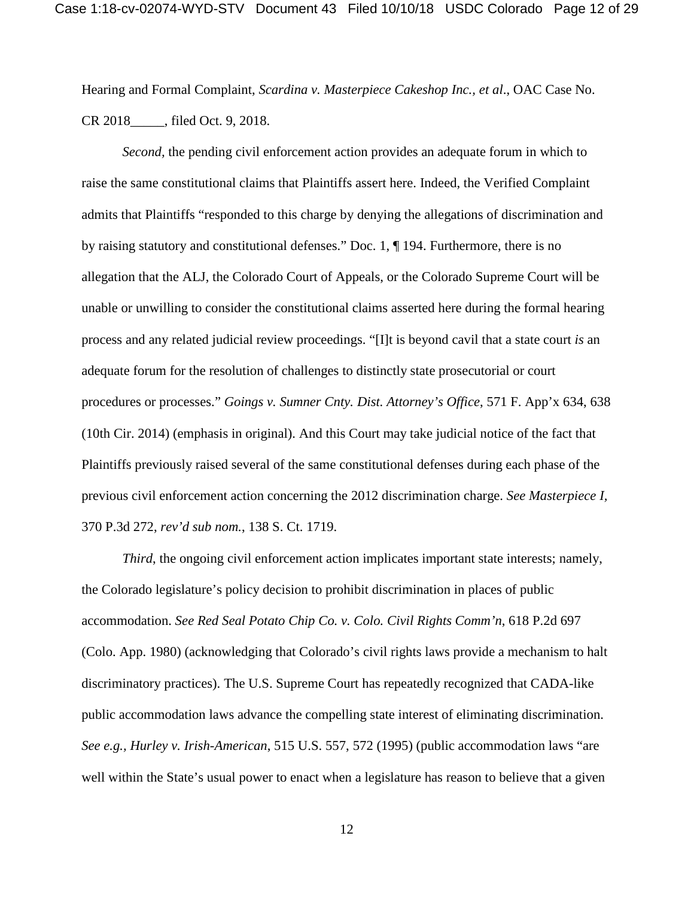Hearing and Formal Complaint, *Scardina v. Masterpiece Cakeshop Inc., et al*., OAC Case No. CR 2018\_\_\_\_\_, filed Oct. 9, 2018.

*Second,* the pending civil enforcement action provides an adequate forum in which to raise the same constitutional claims that Plaintiffs assert here. Indeed, the Verified Complaint admits that Plaintiffs "responded to this charge by denying the allegations of discrimination and by raising statutory and constitutional defenses." Doc. 1, ¶ 194. Furthermore, there is no allegation that the ALJ, the Colorado Court of Appeals, or the Colorado Supreme Court will be unable or unwilling to consider the constitutional claims asserted here during the formal hearing process and any related judicial review proceedings. "[I]t is beyond cavil that a state court *is* an adequate forum for the resolution of challenges to distinctly state prosecutorial or court procedures or processes." *Goings v. Sumner Cnty. Dist. Attorney's Office*, 571 F. App'x 634, 638 (10th Cir. 2014) (emphasis in original). And this Court may take judicial notice of the fact that Plaintiffs previously raised several of the same constitutional defenses during each phase of the previous civil enforcement action concerning the 2012 discrimination charge. *See Masterpiece I,* 370 P.3d 272, *rev'd sub nom.*, 138 S. Ct. 1719.

*Third*, the ongoing civil enforcement action implicates important state interests; namely, the Colorado legislature's policy decision to prohibit discrimination in places of public accommodation. *See Red Seal Potato Chip Co. v. Colo. Civil Rights Comm'n*, 618 P.2d 697 (Colo. App. 1980) (acknowledging that Colorado's civil rights laws provide a mechanism to halt discriminatory practices). The U.S. Supreme Court has repeatedly recognized that CADA-like public accommodation laws advance the compelling state interest of eliminating discrimination. *See e.g., Hurley v. Irish-American*, 515 U.S. 557, 572 (1995) (public accommodation laws "are well within the State's usual power to enact when a legislature has reason to believe that a given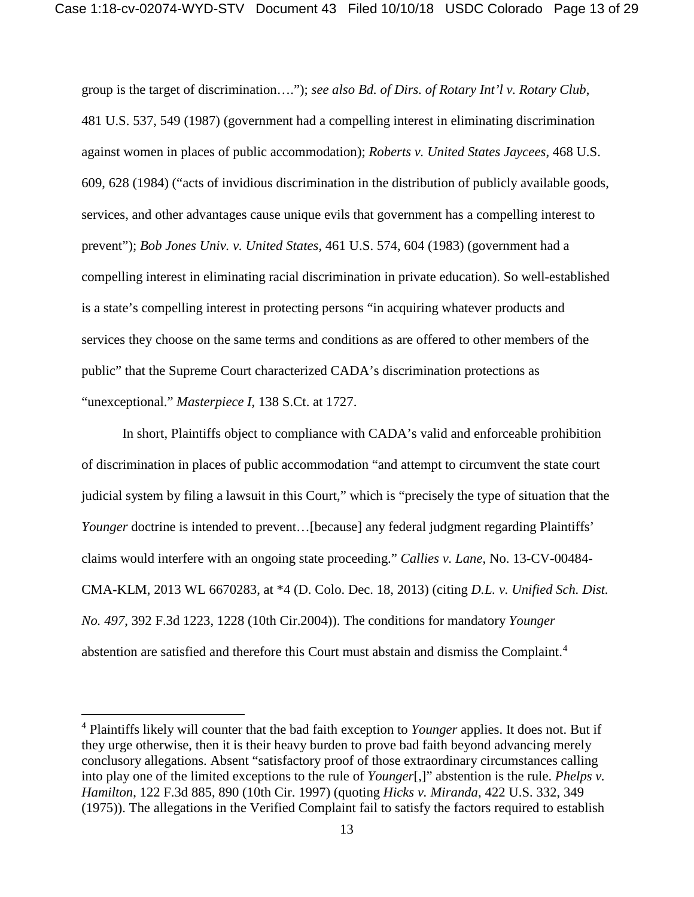group is the target of discrimination…."); *see also Bd. of Dirs. of Rotary Int'l v. Rotary Club*, 481 U.S. 537, 549 (1987) (government had a compelling interest in eliminating discrimination against women in places of public accommodation); *Roberts v. United States Jaycees*, 468 U.S. 609, 628 (1984) ("acts of invidious discrimination in the distribution of publicly available goods, services, and other advantages cause unique evils that government has a compelling interest to prevent"); *Bob Jones Univ. v. United States*, 461 U.S. 574, 604 (1983) (government had a compelling interest in eliminating racial discrimination in private education). So well-established is a state's compelling interest in protecting persons "in acquiring whatever products and services they choose on the same terms and conditions as are offered to other members of the public" that the Supreme Court characterized CADA's discrimination protections as "unexceptional." *Masterpiece I*, 138 S.Ct. at 1727.

In short, Plaintiffs object to compliance with CADA's valid and enforceable prohibition of discrimination in places of public accommodation "and attempt to circumvent the state court judicial system by filing a lawsuit in this Court," which is "precisely the type of situation that the *Younger* doctrine is intended to prevent... [because] any federal judgment regarding Plaintiffs' claims would interfere with an ongoing state proceeding." *Callies v. Lane*, No. 13-CV-00484- CMA-KLM, 2013 WL 6670283, at \*4 (D. Colo. Dec. 18, 2013) (citing *D.L. v. Unified Sch. Dist. No. 497*, 392 F.3d 1223, 1228 (10th Cir.2004)). The conditions for mandatory *Younger*  abstention are satisfied and therefore this Court must abstain and dismiss the Complaint. [4](#page-12-0)

l

<span id="page-12-0"></span><sup>4</sup> Plaintiffs likely will counter that the bad faith exception to *Younger* applies. It does not. But if they urge otherwise, then it is their heavy burden to prove bad faith beyond advancing merely conclusory allegations. Absent "satisfactory proof of those extraordinary circumstances calling into play one of the limited exceptions to the rule of *Younger*[,]" abstention is the rule. *Phelps v. Hamilton*, 122 F.3d 885, 890 (10th Cir. 1997) (quoting *Hicks v. Miranda*, 422 U.S. 332, 349 (1975)). The allegations in the Verified Complaint fail to satisfy the factors required to establish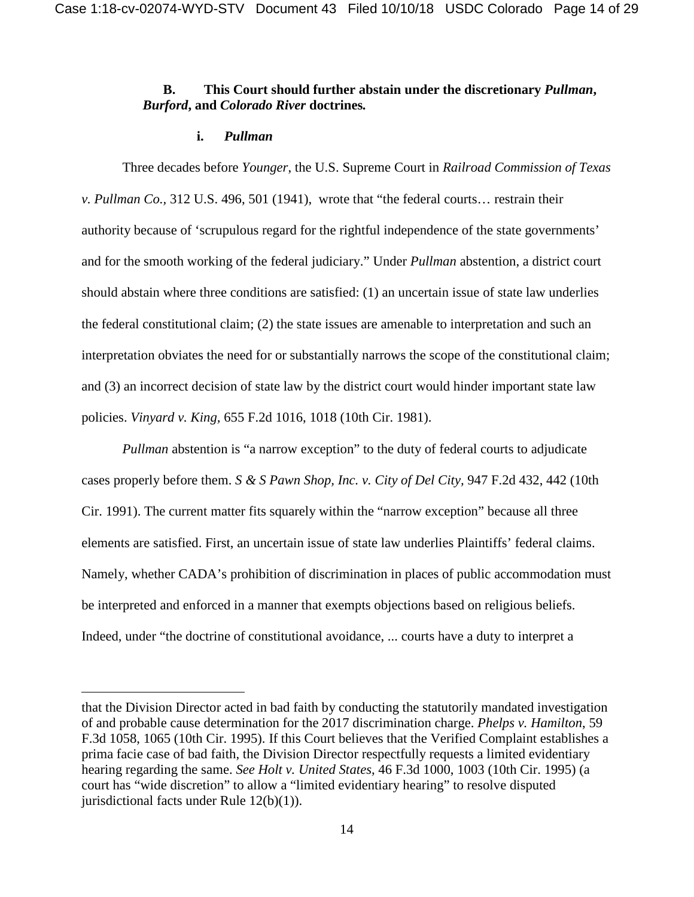# **B. This Court should further abstain under the discretionary** *Pullman***,**  *Burford***, and** *Colorado River* **doctrines***.*

## **i.** *Pullman*

 $\overline{a}$ 

Three decades before *Younger*, the U.S. Supreme Court in *Railroad Commission of Texas v. Pullman Co.,* 312 U.S. 496, 501 (1941), wrote that "the federal courts… restrain their authority because of 'scrupulous regard for the rightful independence of the state governments' and for the smooth working of the federal judiciary." Under *Pullman* abstention, a district court should abstain where three conditions are satisfied: (1) an uncertain issue of state law underlies the federal constitutional claim; (2) the state issues are amenable to interpretation and such an interpretation obviates the need for or substantially narrows the scope of the constitutional claim; and (3) an incorrect decision of state law by the district court would hinder important state law policies. *Vinyard v. King,* 655 F.2d 1016, 1018 (10th Cir. 1981).

*Pullman* abstention is "a narrow exception" to the duty of federal courts to adjudicate cases properly before them. *S & S Pawn Shop, Inc. v. City of Del City,* 947 F.2d 432, 442 (10th Cir. 1991). The current matter fits squarely within the "narrow exception" because all three elements are satisfied. First, an uncertain issue of state law underlies Plaintiffs' federal claims. Namely, whether CADA's prohibition of discrimination in places of public accommodation must be interpreted and enforced in a manner that exempts objections based on religious beliefs. Indeed, under "the doctrine of constitutional avoidance, ... courts have a duty to interpret a

that the Division Director acted in bad faith by conducting the statutorily mandated investigation of and probable cause determination for the 2017 discrimination charge. *Phelps v. Hamilton*, 59 F.3d 1058, 1065 (10th Cir. 1995). If this Court believes that the Verified Complaint establishes a prima facie case of bad faith, the Division Director respectfully requests a limited evidentiary hearing regarding the same. *See Holt v. United States*, 46 F.3d 1000, 1003 (10th Cir. 1995) (a court has "wide discretion" to allow a "limited evidentiary hearing" to resolve disputed jurisdictional facts under Rule 12(b)(1)).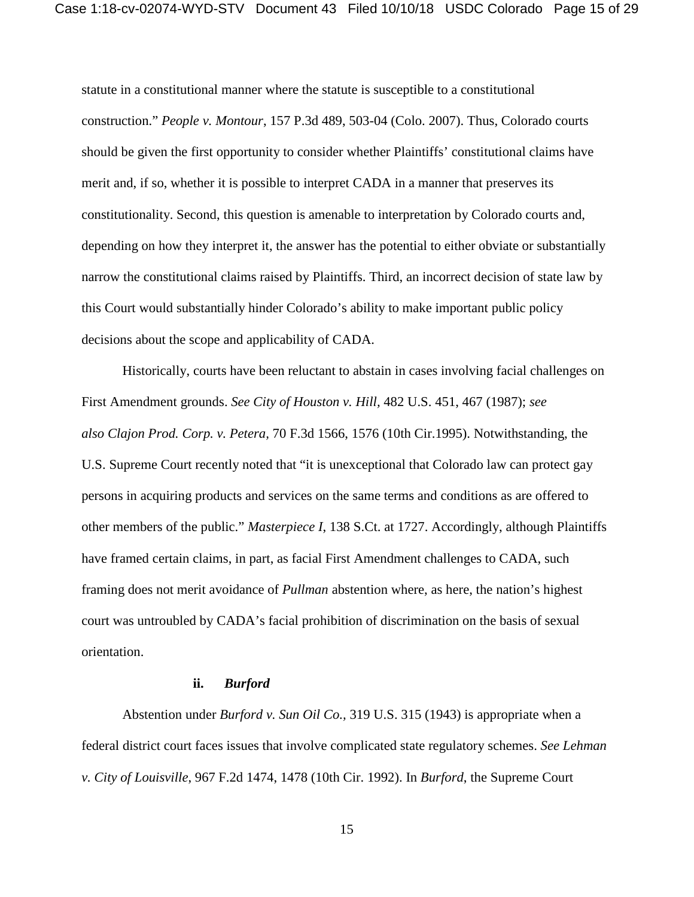statute in a constitutional manner where the statute is susceptible to a constitutional construction." *People v. Montour*, 157 P.3d 489, 503-04 (Colo. 2007). Thus, Colorado courts should be given the first opportunity to consider whether Plaintiffs' constitutional claims have merit and, if so, whether it is possible to interpret CADA in a manner that preserves its constitutionality. Second, this question is amenable to interpretation by Colorado courts and, depending on how they interpret it, the answer has the potential to either obviate or substantially narrow the constitutional claims raised by Plaintiffs. Third, an incorrect decision of state law by this Court would substantially hinder Colorado's ability to make important public policy decisions about the scope and applicability of CADA.

Historically, courts have been reluctant to abstain in cases involving facial challenges on First Amendment grounds. *See City of Houston v. Hill,* 482 U.S. 451, 467 (1987); *see also Clajon Prod. Corp. v. Petera,* 70 F.3d 1566, 1576 (10th Cir.1995). Notwithstanding, the U.S. Supreme Court recently noted that "it is unexceptional that Colorado law can protect gay persons in acquiring products and services on the same terms and conditions as are offered to other members of the public." *Masterpiece I*, 138 S.Ct. at 1727. Accordingly, although Plaintiffs have framed certain claims, in part, as facial First Amendment challenges to CADA, such framing does not merit avoidance of *Pullman* abstention where, as here, the nation's highest court was untroubled by CADA's facial prohibition of discrimination on the basis of sexual orientation.

### **ii.** *Burford*

Abstention under *Burford v. Sun Oil Co.,* 319 U.S. 315 (1943) is appropriate when a federal district court faces issues that involve complicated state regulatory schemes. *See Lehman v. City of Louisville*, 967 F.2d 1474, 1478 (10th Cir. 1992). In *Burford*, the Supreme Court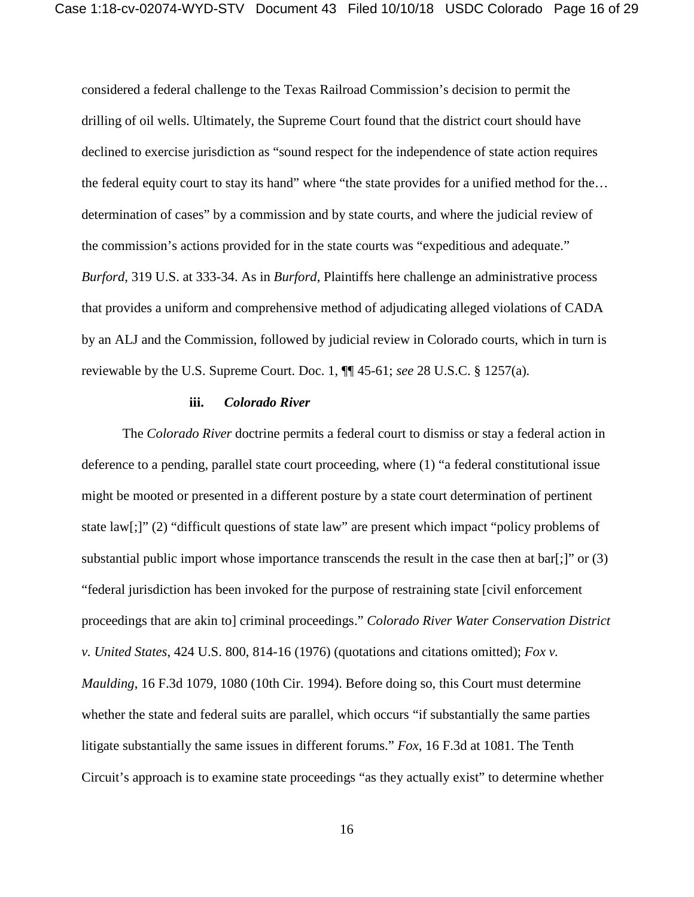considered a federal challenge to the Texas Railroad Commission's decision to permit the drilling of oil wells. Ultimately, the Supreme Court found that the district court should have declined to exercise jurisdiction as "sound respect for the independence of state action requires the federal equity court to stay its hand" where "the state provides for a unified method for the… determination of cases" by a commission and by state courts, and where the judicial review of the commission's actions provided for in the state courts was "expeditious and adequate." *Burford*, 319 U.S. at 333-34. As in *Burford*, Plaintiffs here challenge an administrative process that provides a uniform and comprehensive method of adjudicating alleged violations of CADA by an ALJ and the Commission, followed by judicial review in Colorado courts, which in turn is reviewable by the U.S. Supreme Court. Doc. 1, ¶¶ 45-61; *see* 28 U.S.C. § 1257(a)*.*

#### **iii.** *Colorado River*

The *Colorado River* doctrine permits a federal court to dismiss or stay a federal action in deference to a pending, parallel state court proceeding, where (1) "a federal constitutional issue might be mooted or presented in a different posture by a state court determination of pertinent state law[;]" (2) "difficult questions of state law" are present which impact "policy problems of substantial public import whose importance transcends the result in the case then at bar[;]" or (3) "federal jurisdiction has been invoked for the purpose of restraining state [civil enforcement proceedings that are akin to] criminal proceedings." *Colorado River Water Conservation District v. United States*, 424 U.S. 800, 814-16 (1976) (quotations and citations omitted); *Fox v. Maulding*, 16 F.3d 1079, 1080 (10th Cir. 1994). Before doing so, this Court must determine whether the state and federal suits are parallel, which occurs "if substantially the same parties litigate substantially the same issues in different forums." *Fox*, 16 F.3d at 1081. The Tenth Circuit's approach is to examine state proceedings "as they actually exist" to determine whether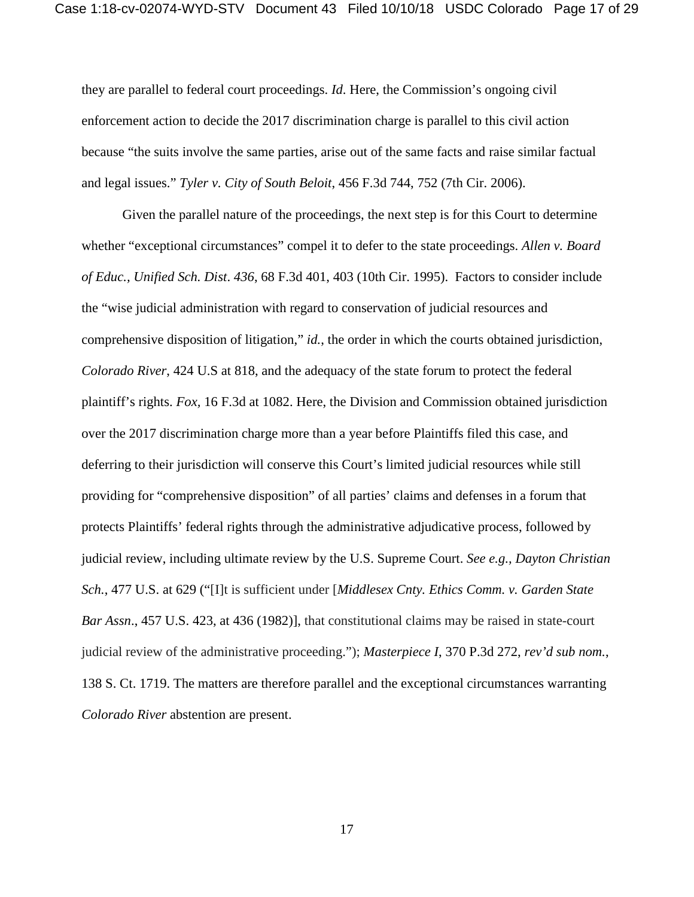they are parallel to federal court proceedings. *Id*. Here, the Commission's ongoing civil enforcement action to decide the 2017 discrimination charge is parallel to this civil action because "the suits involve the same parties, arise out of the same facts and raise similar factual and legal issues." *Tyler v. City of South Beloit*, 456 F.3d 744, 752 (7th Cir. 2006).

Given the parallel nature of the proceedings, the next step is for this Court to determine whether "exceptional circumstances" compel it to defer to the state proceedings. *Allen v. Board of Educ., Unified Sch. Dist*. *436*, 68 F.3d 401, 403 (10th Cir. 1995). Factors to consider include the "wise judicial administration with regard to conservation of judicial resources and comprehensive disposition of litigation," *id.*, the order in which the courts obtained jurisdiction, *Colorado River*, 424 U.S at 818, and the adequacy of the state forum to protect the federal plaintiff's rights. *Fox,* 16 F.3d at 1082. Here, the Division and Commission obtained jurisdiction over the 2017 discrimination charge more than a year before Plaintiffs filed this case, and deferring to their jurisdiction will conserve this Court's limited judicial resources while still providing for "comprehensive disposition" of all parties' claims and defenses in a forum that protects Plaintiffs' federal rights through the administrative adjudicative process, followed by judicial review, including ultimate review by the U.S. Supreme Court. *See e.g., Dayton Christian Sch.*, 477 U.S. at 629 ("[I]t is sufficient under [*Middlesex Cnty. Ethics Comm. v. Garden State Bar Assn*., 457 U.S. 423, at 436 (1982)], that constitutional claims may be raised in state-court judicial review of the administrative proceeding."); *Masterpiece I*, 370 P.3d 272, *rev'd sub nom.*, 138 S. Ct. 1719. The matters are therefore parallel and the exceptional circumstances warranting *Colorado River* abstention are present.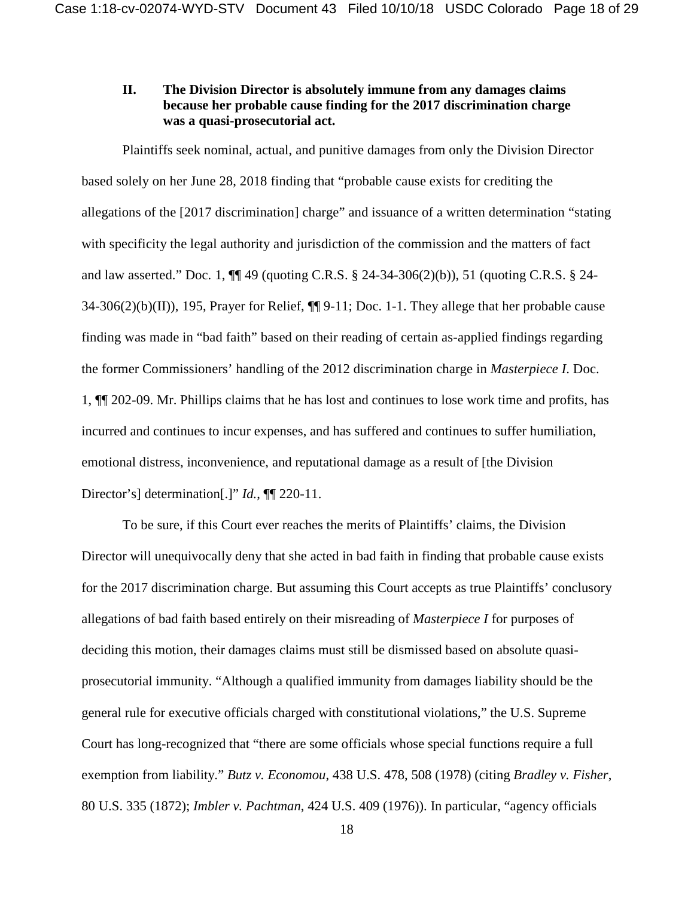# **II. The Division Director is absolutely immune from any damages claims because her probable cause finding for the 2017 discrimination charge was a quasi-prosecutorial act.**

Plaintiffs seek nominal, actual, and punitive damages from only the Division Director based solely on her June 28, 2018 finding that "probable cause exists for crediting the allegations of the [2017 discrimination] charge" and issuance of a written determination "stating with specificity the legal authority and jurisdiction of the commission and the matters of fact and law asserted." Doc. 1, ¶¶ 49 (quoting C.R.S. § 24-34-306(2)(b)), 51 (quoting C.R.S. § 24- 34-306(2)(b)(II)), 195, Prayer for Relief, ¶¶ 9-11; Doc. 1-1. They allege that her probable cause finding was made in "bad faith" based on their reading of certain as-applied findings regarding the former Commissioners' handling of the 2012 discrimination charge in *Masterpiece I*. Doc. 1, ¶¶ 202-09. Mr. Phillips claims that he has lost and continues to lose work time and profits, has incurred and continues to incur expenses, and has suffered and continues to suffer humiliation, emotional distress, inconvenience, and reputational damage as a result of [the Division Director's] determination[.]" *Id.*, **[1]** 220-11.

To be sure, if this Court ever reaches the merits of Plaintiffs' claims, the Division Director will unequivocally deny that she acted in bad faith in finding that probable cause exists for the 2017 discrimination charge. But assuming this Court accepts as true Plaintiffs' conclusory allegations of bad faith based entirely on their misreading of *Masterpiece I* for purposes of deciding this motion, their damages claims must still be dismissed based on absolute quasiprosecutorial immunity. "Although a qualified immunity from damages liability should be the general rule for executive officials charged with constitutional violations," the U.S. Supreme Court has long-recognized that "there are some officials whose special functions require a full exemption from liability." *Butz v. Economou*, 438 U.S. 478, 508 (1978) (citing *Bradley v. Fisher*, 80 U.S. 335 (1872); *Imbler v. Pachtman*, 424 U.S. 409 (1976)). In particular, "agency officials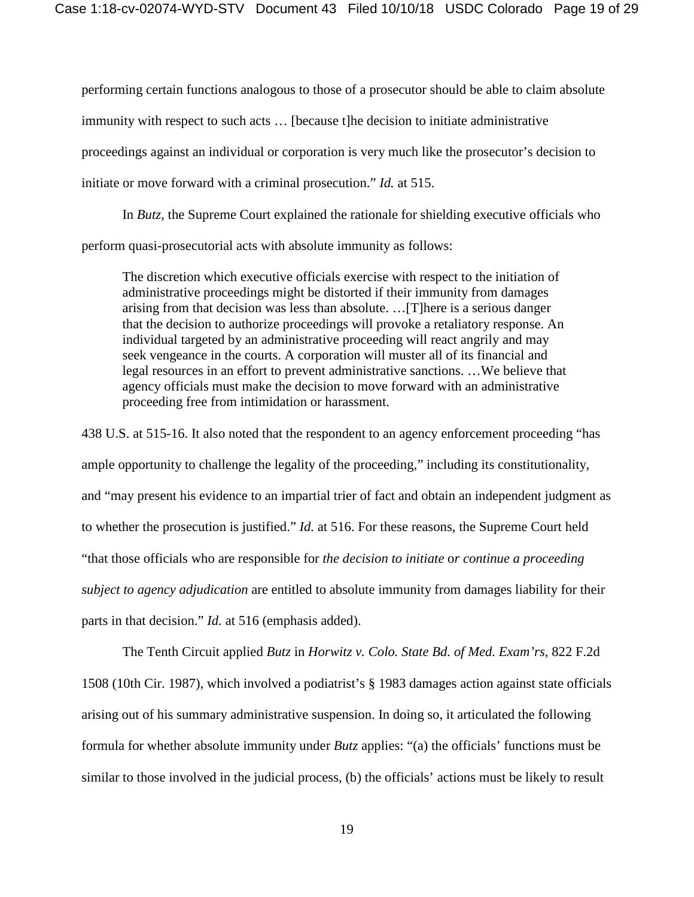performing certain functions analogous to those of a prosecutor should be able to claim absolute immunity with respect to such acts … [because t]he decision to initiate administrative proceedings against an individual or corporation is very much like the prosecutor's decision to initiate or move forward with a criminal prosecution." *Id.* at 515.

In *Butz*, the Supreme Court explained the rationale for shielding executive officials who perform quasi-prosecutorial acts with absolute immunity as follows:

The discretion which executive officials exercise with respect to the initiation of administrative proceedings might be distorted if their immunity from damages arising from that decision was less than absolute. …[T]here is a serious danger that the decision to authorize proceedings will provoke a retaliatory response. An individual targeted by an administrative proceeding will react angrily and may seek vengeance in the courts. A corporation will muster all of its financial and legal resources in an effort to prevent administrative sanctions. …We believe that agency officials must make the decision to move forward with an administrative proceeding free from intimidation or harassment.

438 U.S. at 515-16. It also noted that the respondent to an agency enforcement proceeding "has ample opportunity to challenge the legality of the proceeding," including its constitutionality, and "may present his evidence to an impartial trier of fact and obtain an independent judgment as to whether the prosecution is justified." *Id.* at 516. For these reasons, the Supreme Court held "that those officials who are responsible for *the decision to initiate* o*r continue a proceeding subject to agency adjudication* are entitled to absolute immunity from damages liability for their parts in that decision." *Id.* at 516 (emphasis added).

The Tenth Circuit applied *Butz* in *Horwitz v. Colo. State Bd. of Med. Exam'rs*, 822 F.2d 1508 (10th Cir. 1987), which involved a podiatrist's § 1983 damages action against state officials arising out of his summary administrative suspension. In doing so, it articulated the following formula for whether absolute immunity under *Butz* applies: "(a) the officials' functions must be similar to those involved in the judicial process, (b) the officials' actions must be likely to result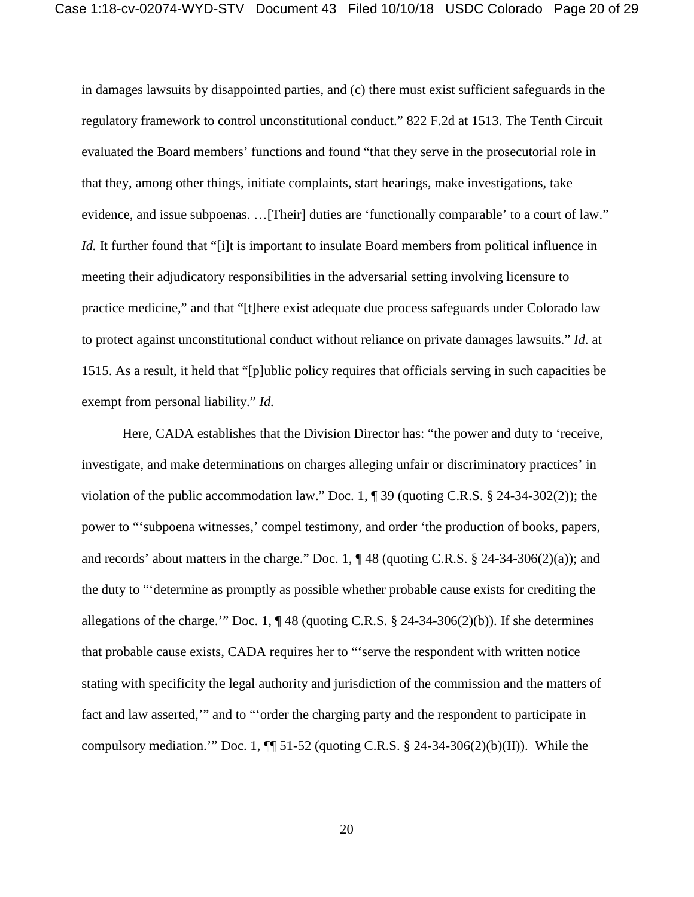in damages lawsuits by disappointed parties, and (c) there must exist sufficient safeguards in the regulatory framework to control unconstitutional conduct." 822 F.2d at 1513. The Tenth Circuit evaluated the Board members' functions and found "that they serve in the prosecutorial role in that they, among other things, initiate complaints, start hearings, make investigations, take evidence, and issue subpoenas. …[Their] duties are 'functionally comparable' to a court of law." *Id.* It further found that "[i]t is important to insulate Board members from political influence in meeting their adjudicatory responsibilities in the adversarial setting involving licensure to practice medicine," and that "[t]here exist adequate due process safeguards under Colorado law to protect against unconstitutional conduct without reliance on private damages lawsuits." *Id*. at 1515. As a result, it held that "[p]ublic policy requires that officials serving in such capacities be exempt from personal liability." *Id.*

Here, CADA establishes that the Division Director has: "the power and duty to 'receive, investigate, and make determinations on charges alleging unfair or discriminatory practices' in violation of the public accommodation law." Doc. 1, ¶ 39 (quoting C.R.S. § 24-34-302(2)); the power to "'subpoena witnesses,' compel testimony, and order 'the production of books, papers, and records' about matters in the charge." Doc. 1,  $\P$  48 (quoting C.R.S. § 24-34-306(2)(a)); and the duty to "'determine as promptly as possible whether probable cause exists for crediting the allegations of the charge.'" Doc. 1,  $\P$  48 (quoting C.R.S. § 24-34-306(2)(b)). If she determines that probable cause exists, CADA requires her to "'serve the respondent with written notice stating with specificity the legal authority and jurisdiction of the commission and the matters of fact and law asserted,'" and to "'order the charging party and the respondent to participate in compulsory mediation.'" Doc. 1,  $\P$  51-52 (quoting C.R.S. § 24-34-306(2)(b)(II)). While the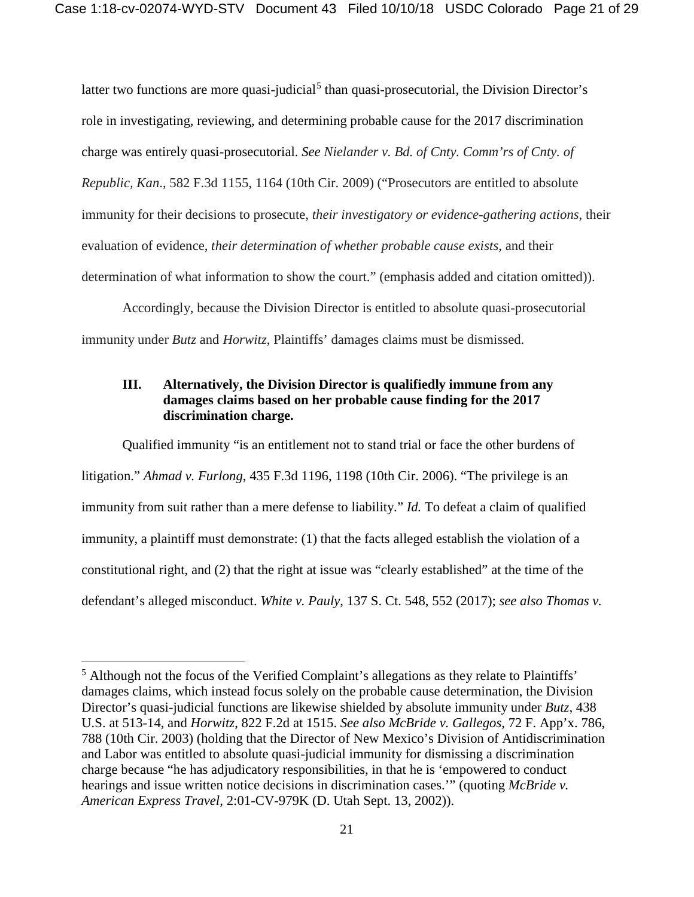latter two functions are more quasi-judicial<sup>[5](#page-20-0)</sup> than quasi-prosecutorial, the Division Director's role in investigating, reviewing, and determining probable cause for the 2017 discrimination charge was entirely quasi-prosecutorial. *See Nielander v. Bd. of Cnty. Comm'rs of Cnty. of Republic, Kan*., 582 F.3d 1155, 1164 (10th Cir. 2009) ("Prosecutors are entitled to absolute immunity for their decisions to prosecute, *their investigatory or evidence-gathering actions*, their evaluation of evidence, *their determination of whether probable cause exists*, and their determination of what information to show the court." (emphasis added and citation omitted)).

Accordingly, because the Division Director is entitled to absolute quasi-prosecutorial immunity under *Butz* and *Horwitz*, Plaintiffs' damages claims must be dismissed.

# **III. Alternatively, the Division Director is qualifiedly immune from any damages claims based on her probable cause finding for the 2017 discrimination charge.**

Qualified immunity "is an entitlement not to stand trial or face the other burdens of litigation." *Ahmad v. Furlong*, 435 F.3d 1196, 1198 (10th Cir. 2006). "The privilege is an immunity from suit rather than a mere defense to liability." *Id.* To defeat a claim of qualified immunity, a plaintiff must demonstrate: (1) that the facts alleged establish the violation of a constitutional right, and (2) that the right at issue was "clearly established" at the time of the defendant's alleged misconduct. *White v. Pauly*, 137 S. Ct. 548, 552 (2017); *see also Thomas v.* 

<span id="page-20-0"></span><sup>5</sup> Although not the focus of the Verified Complaint's allegations as they relate to Plaintiffs' damages claims, which instead focus solely on the probable cause determination, the Division Director's quasi-judicial functions are likewise shielded by absolute immunity under *Butz*, 438 U.S. at 513-14, and *Horwitz*, 822 F.2d at 1515. *See also McBride v. Gallegos*, 72 F. App'x. 786, 788 (10th Cir. 2003) (holding that the Director of New Mexico's Division of Antidiscrimination and Labor was entitled to absolute quasi-judicial immunity for dismissing a discrimination charge because "he has adjudicatory responsibilities, in that he is 'empowered to conduct hearings and issue written notice decisions in discrimination cases.'" (quoting *McBride v. American Express Travel*, 2:01-CV-979K (D. Utah Sept. 13, 2002)).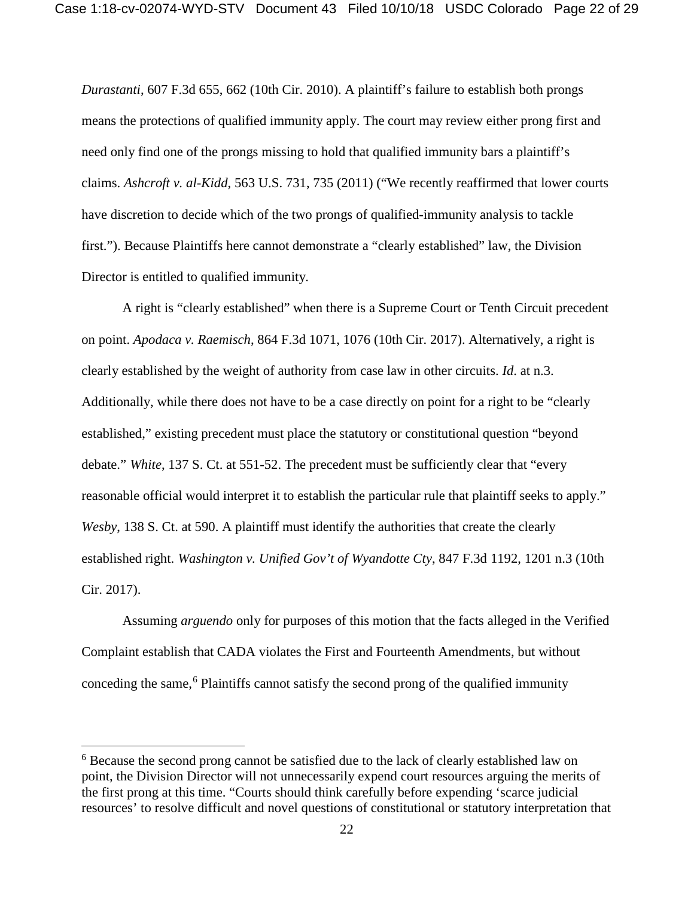*Durastanti*, 607 F.3d 655, 662 (10th Cir. 2010). A plaintiff's failure to establish both prongs means the protections of qualified immunity apply. The court may review either prong first and need only find one of the prongs missing to hold that qualified immunity bars a plaintiff's claims. *Ashcroft v. al-Kidd*, 563 U.S. 731, 735 (2011) ("We recently reaffirmed that lower courts have discretion to decide which of the two prongs of qualified-immunity analysis to tackle first."). Because Plaintiffs here cannot demonstrate a "clearly established" law, the Division Director is entitled to qualified immunity.

A right is "clearly established" when there is a Supreme Court or Tenth Circuit precedent on point. *Apodaca v. Raemisch*, 864 F.3d 1071, 1076 (10th Cir. 2017). Alternatively, a right is clearly established by the weight of authority from case law in other circuits. *Id*. at n.3. Additionally, while there does not have to be a case directly on point for a right to be "clearly established," existing precedent must place the statutory or constitutional question "beyond debate." *White*, 137 S. Ct. at 551-52. The precedent must be sufficiently clear that "every reasonable official would interpret it to establish the particular rule that plaintiff seeks to apply." *Wesby*, 138 S. Ct. at 590. A plaintiff must identify the authorities that create the clearly established right. *Washington v. Unified Gov't of Wyandotte Cty*, 847 F.3d 1192, 1201 n.3 (10th Cir. 2017).

Assuming *arguendo* only for purposes of this motion that the facts alleged in the Verified Complaint establish that CADA violates the First and Fourteenth Amendments, but without conceding the same, $6$  Plaintiffs cannot satisfy the second prong of the qualified immunity

<span id="page-21-0"></span><sup>6</sup> Because the second prong cannot be satisfied due to the lack of clearly established law on point, the Division Director will not unnecessarily expend court resources arguing the merits of the first prong at this time. "Courts should think carefully before expending 'scarce judicial resources' to resolve difficult and novel questions of constitutional or statutory interpretation that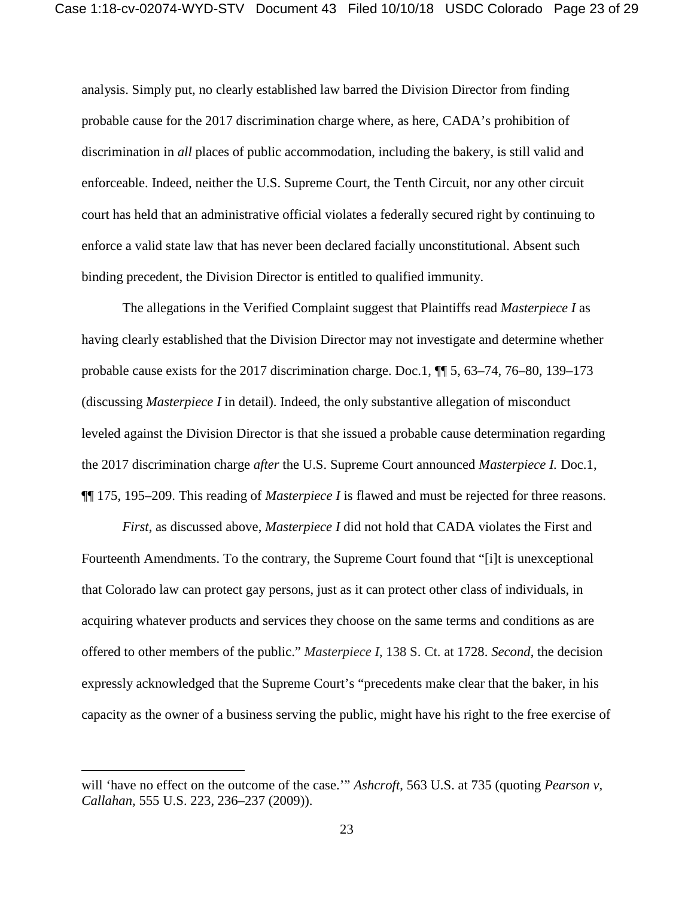analysis. Simply put, no clearly established law barred the Division Director from finding probable cause for the 2017 discrimination charge where, as here, CADA's prohibition of discrimination in *all* places of public accommodation, including the bakery, is still valid and enforceable. Indeed, neither the U.S. Supreme Court, the Tenth Circuit, nor any other circuit court has held that an administrative official violates a federally secured right by continuing to enforce a valid state law that has never been declared facially unconstitutional. Absent such binding precedent, the Division Director is entitled to qualified immunity.

The allegations in the Verified Complaint suggest that Plaintiffs read *Masterpiece I* as having clearly established that the Division Director may not investigate and determine whether probable cause exists for the 2017 discrimination charge. Doc.1, ¶¶ 5, 63–74, 76–80, 139–173 (discussing *Masterpiece I* in detail). Indeed, the only substantive allegation of misconduct leveled against the Division Director is that she issued a probable cause determination regarding the 2017 discrimination charge *after* the U.S. Supreme Court announced *Masterpiece I.* Doc.1, ¶¶ 175, 195–209. This reading of *Masterpiece I* is flawed and must be rejected for three reasons.

*First*, as discussed above, *Masterpiece I* did not hold that CADA violates the First and Fourteenth Amendments. To the contrary, the Supreme Court found that "[i]t is unexceptional that Colorado law can protect gay persons, just as it can protect other class of individuals, in acquiring whatever products and services they choose on the same terms and conditions as are offered to other members of the public." *Masterpiece I*, 138 S. Ct. at 1728. *Second*, the decision expressly acknowledged that the Supreme Court's "precedents make clear that the baker, in his capacity as the owner of a business serving the public, might have his right to the free exercise of

will 'have no effect on the outcome of the case.'" *Ashcroft*, 563 U.S. at 735 (quoting *Pearson v*, *Callahan,* 555 U.S. 223, 236–237 (2009)).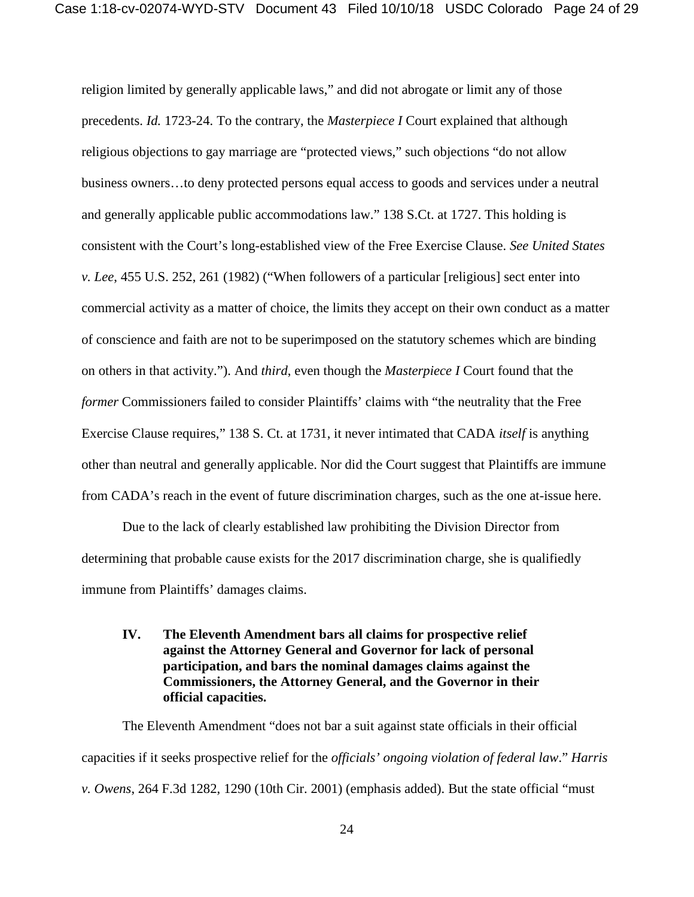religion limited by generally applicable laws," and did not abrogate or limit any of those precedents. *Id.* 1723-24. To the contrary, the *Masterpiece I* Court explained that although religious objections to gay marriage are "protected views," such objections "do not allow business owners…to deny protected persons equal access to goods and services under a neutral and generally applicable public accommodations law." 138 S.Ct. at 1727. This holding is consistent with the Court's long-established view of the Free Exercise Clause. *See United States v. Lee*, 455 U.S. 252, 261 (1982) ("When followers of a particular [religious] sect enter into commercial activity as a matter of choice, the limits they accept on their own conduct as a matter of conscience and faith are not to be superimposed on the statutory schemes which are binding on others in that activity."). And *third*, even though the *Masterpiece I* Court found that the *former* Commissioners failed to consider Plaintiffs' claims with "the neutrality that the Free Exercise Clause requires," 138 S. Ct. at 1731, it never intimated that CADA *itself* is anything other than neutral and generally applicable. Nor did the Court suggest that Plaintiffs are immune from CADA's reach in the event of future discrimination charges, such as the one at-issue here.

Due to the lack of clearly established law prohibiting the Division Director from determining that probable cause exists for the 2017 discrimination charge, she is qualifiedly immune from Plaintiffs' damages claims.

# **IV. The Eleventh Amendment bars all claims for prospective relief against the Attorney General and Governor for lack of personal participation, and bars the nominal damages claims against the Commissioners, the Attorney General, and the Governor in their official capacities.**

The Eleventh Amendment "does not bar a suit against state officials in their official capacities if it seeks prospective relief for the *officials' ongoing violation of federal law*." *Harris v. Owens*, 264 F.3d 1282, 1290 (10th Cir. 2001) (emphasis added). But the state official "must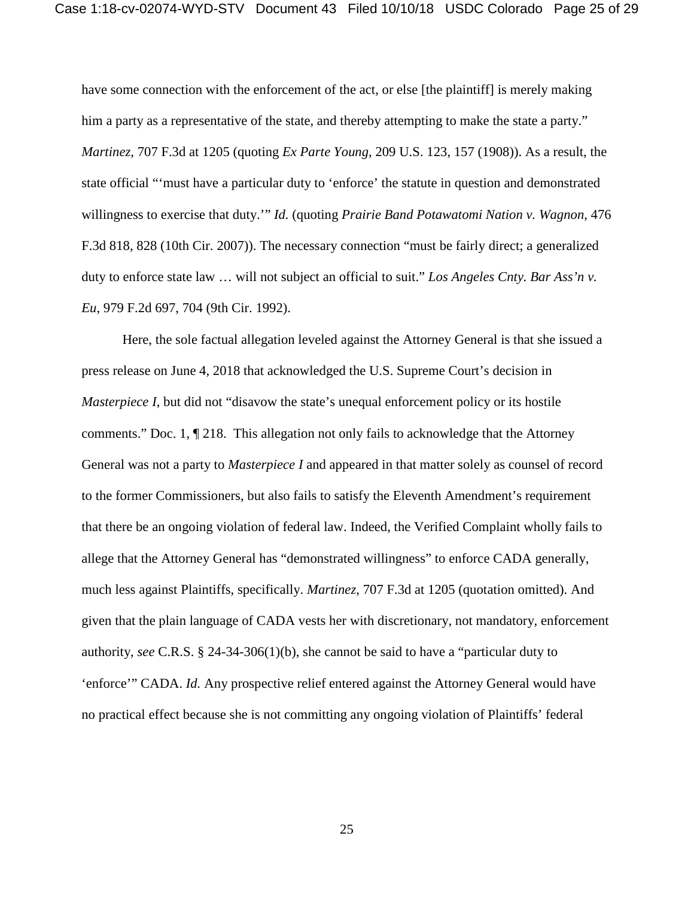have some connection with the enforcement of the act, or else [the plaintiff] is merely making him a party as a representative of the state, and thereby attempting to make the state a party." *Martinez*, 707 F.3d at 1205 (quoting *Ex Parte Young*, 209 U.S. 123, 157 (1908)). As a result, the state official "'must have a particular duty to 'enforce' the statute in question and demonstrated willingness to exercise that duty.'" *Id.* (quoting *Prairie Band Potawatomi Nation v. Wagnon*, 476 F.3d 818, 828 (10th Cir. 2007)). The necessary connection "must be fairly direct; a generalized duty to enforce state law … will not subject an official to suit." *Los Angeles Cnty. Bar Ass'n v. Eu*, 979 F.2d 697, 704 (9th Cir. 1992).

Here, the sole factual allegation leveled against the Attorney General is that she issued a press release on June 4, 2018 that acknowledged the U.S. Supreme Court's decision in *Masterpiece I*, but did not "disavow the state's unequal enforcement policy or its hostile comments." Doc. 1, ¶ 218. This allegation not only fails to acknowledge that the Attorney General was not a party to *Masterpiece I* and appeared in that matter solely as counsel of record to the former Commissioners, but also fails to satisfy the Eleventh Amendment's requirement that there be an ongoing violation of federal law. Indeed, the Verified Complaint wholly fails to allege that the Attorney General has "demonstrated willingness" to enforce CADA generally, much less against Plaintiffs, specifically. *Martinez*, 707 F.3d at 1205 (quotation omitted). And given that the plain language of CADA vests her with discretionary, not mandatory, enforcement authority, *see* C.R.S. § 24-34-306(1)(b), she cannot be said to have a "particular duty to 'enforce'" CADA. *Id.* Any prospective relief entered against the Attorney General would have no practical effect because she is not committing any ongoing violation of Plaintiffs' federal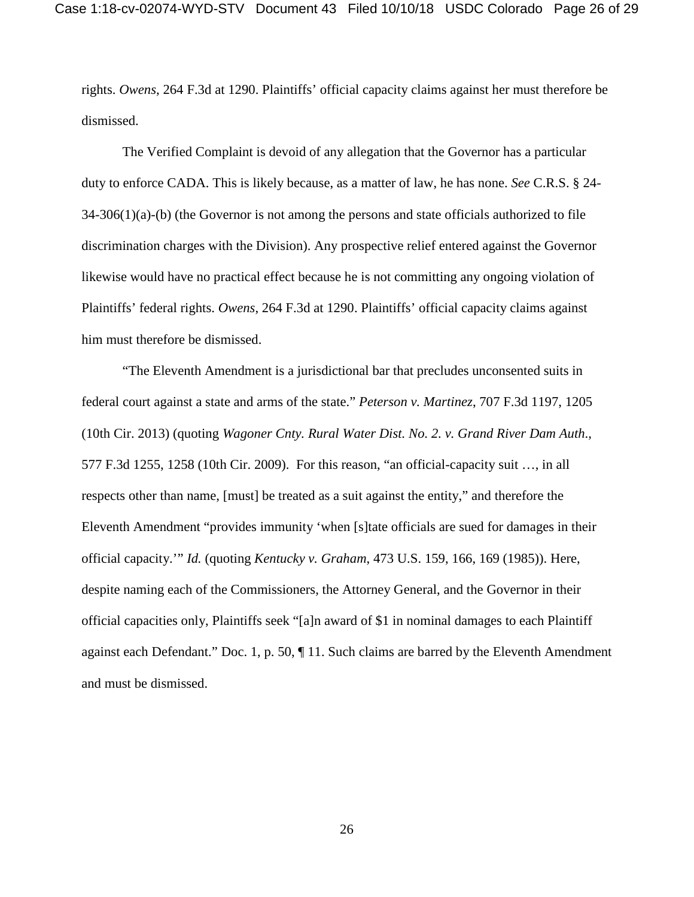rights. *Owens*, 264 F.3d at 1290. Plaintiffs' official capacity claims against her must therefore be dismissed.

The Verified Complaint is devoid of any allegation that the Governor has a particular duty to enforce CADA. This is likely because, as a matter of law, he has none. *See* C.R.S. § 24-  $34-306(1)(a)$ -(b) (the Governor is not among the persons and state officials authorized to file discrimination charges with the Division). Any prospective relief entered against the Governor likewise would have no practical effect because he is not committing any ongoing violation of Plaintiffs' federal rights. *Owens*, 264 F.3d at 1290. Plaintiffs' official capacity claims against him must therefore be dismissed.

"The Eleventh Amendment is a jurisdictional bar that precludes unconsented suits in federal court against a state and arms of the state." *Peterson v. Martinez*, 707 F.3d 1197, 1205 (10th Cir. 2013) (quoting *Wagoner Cnty. Rural Water Dist. No. 2. v. Grand River Dam Auth*., 577 F.3d 1255, 1258 (10th Cir. 2009). For this reason, "an official-capacity suit …, in all respects other than name, [must] be treated as a suit against the entity," and therefore the Eleventh Amendment "provides immunity 'when [s]tate officials are sued for damages in their official capacity.'" *Id.* (quoting *Kentucky v. Graham*, 473 U.S. 159, 166, 169 (1985)). Here, despite naming each of the Commissioners, the Attorney General, and the Governor in their official capacities only, Plaintiffs seek "[a]n award of \$1 in nominal damages to each Plaintiff against each Defendant." Doc. 1, p. 50, ¶ 11. Such claims are barred by the Eleventh Amendment and must be dismissed.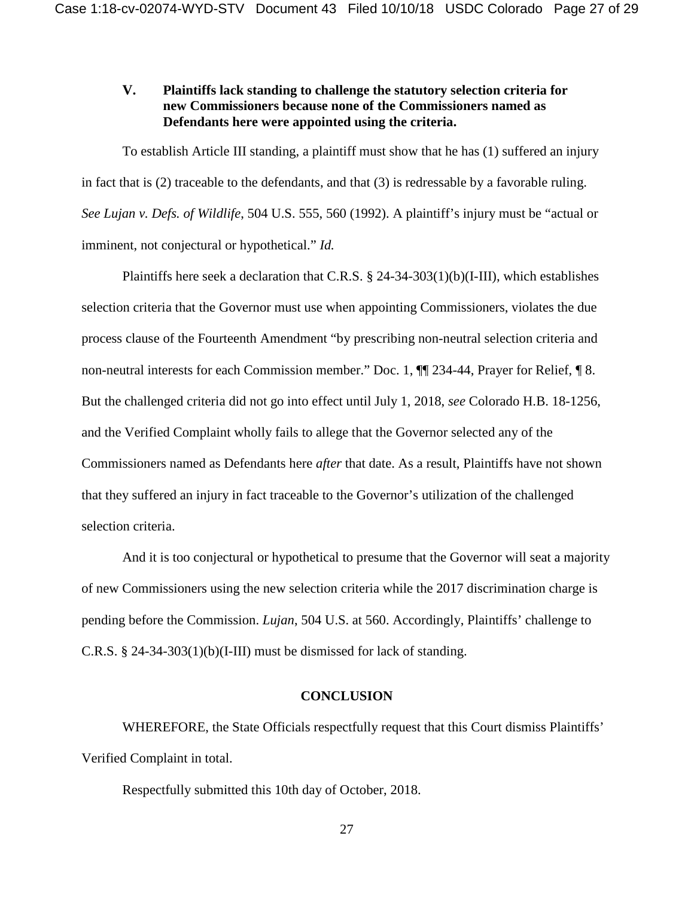## **V. Plaintiffs lack standing to challenge the statutory selection criteria for new Commissioners because none of the Commissioners named as Defendants here were appointed using the criteria.**

To establish Article III standing, a plaintiff must show that he has (1) suffered an injury in fact that is (2) traceable to the defendants, and that (3) is redressable by a favorable ruling. *See Lujan v. Defs. of Wildlife*, 504 U.S. 555, 560 (1992). A plaintiff's injury must be "actual or imminent, not conjectural or hypothetical." *Id.*

Plaintiffs here seek a declaration that C.R.S. § 24-34-303(1)(b)(I-III), which establishes selection criteria that the Governor must use when appointing Commissioners, violates the due process clause of the Fourteenth Amendment "by prescribing non-neutral selection criteria and non-neutral interests for each Commission member." Doc. 1, ¶¶ 234-44, Prayer for Relief, ¶ 8. But the challenged criteria did not go into effect until July 1, 2018, *see* Colorado H.B. 18-1256, and the Verified Complaint wholly fails to allege that the Governor selected any of the Commissioners named as Defendants here *after* that date. As a result, Plaintiffs have not shown that they suffered an injury in fact traceable to the Governor's utilization of the challenged selection criteria.

And it is too conjectural or hypothetical to presume that the Governor will seat a majority of new Commissioners using the new selection criteria while the 2017 discrimination charge is pending before the Commission. *Lujan*, 504 U.S. at 560. Accordingly, Plaintiffs' challenge to C.R.S. § 24-34-303(1)(b)(I-III) must be dismissed for lack of standing.

#### **CONCLUSION**

WHEREFORE, the State Officials respectfully request that this Court dismiss Plaintiffs' Verified Complaint in total.

Respectfully submitted this 10th day of October, 2018.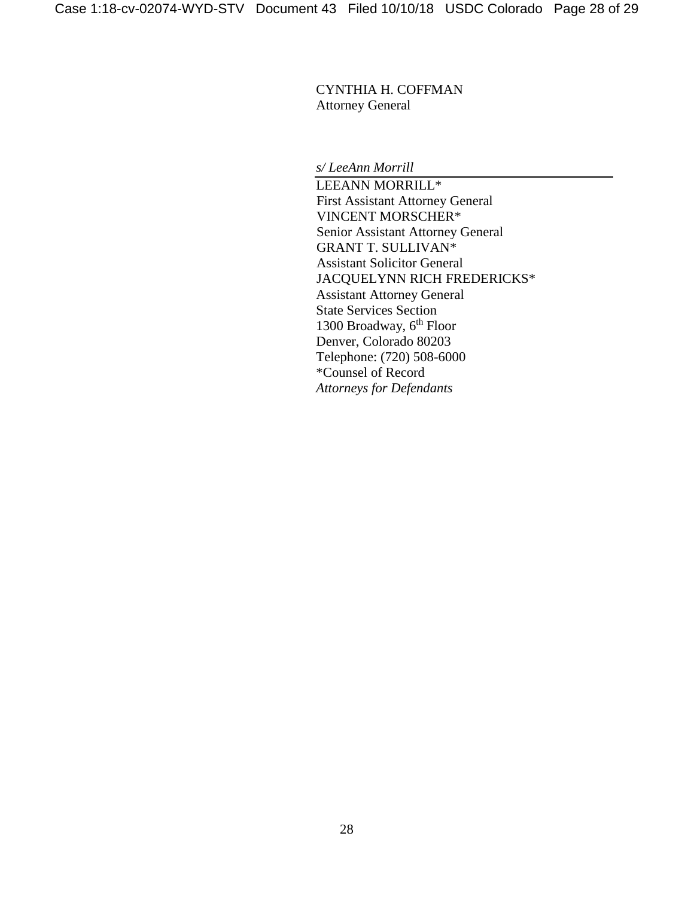CYNTHIA H. COFFMAN Attorney General

*s/ LeeAnn Morrill*

LEEANN MORRILL\* First Assistant Attorney General VINCENT MORSCHER\* Senior Assistant Attorney General GRANT T. SULLIVAN\* Assistant Solicitor General JACQUELYNN RICH FREDERICKS\* Assistant Attorney General State Services Section 1300 Broadway,  $6<sup>th</sup>$  Floor Denver, Colorado 80203 Telephone: (720) 508-6000 \*Counsel of Record *Attorneys for Defendants*